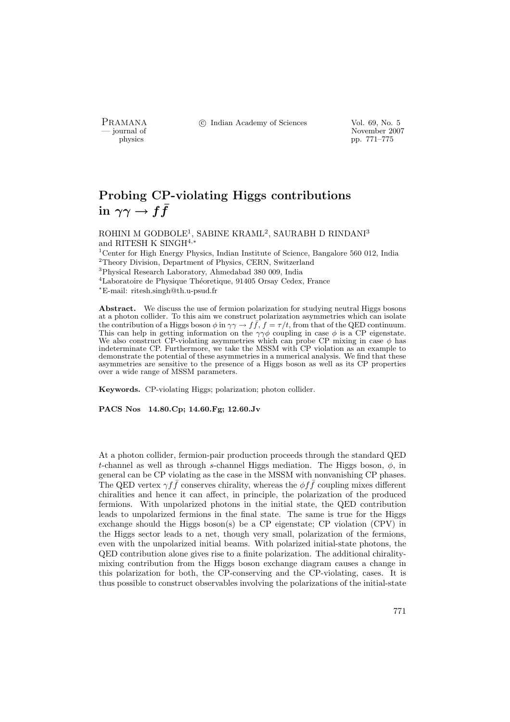PRAMANA <sup>C</sup> Indian Academy of Sciences Vol. 69, No. 5<br>
— journal of

position of the set of the set of the set of the November 2007<br>  $\frac{1}{2}$  pp. 771–775 physics pp. 771–775

# Probing CP-violating Higgs contributions in  $\gamma \gamma \rightarrow f \bar{f}$

ROHINI M GODBOLE<sup>1</sup>, SABINE KRAML<sup>2</sup>, SAURABH D RINDANI $^3$ and RITESH K SINGH<sup>4,\*</sup> <sup>1</sup> Center for High Energy Physics, Indian Institute of Science, Bangalore 560 012, India <sup>2</sup>Theory Division, Department of Physics, CERN, Switzerland <sup>3</sup>Physical Research Laboratory, Ahmedabad 380 009, India <sup>4</sup>Laboratoire de Physique Théoretique, 91405 Orsay Cedex, France <sup>∗</sup>E-mail: ritesh.singh@th.u-psud.fr

Abstract. We discuss the use of fermion polarization for studying neutral Higgs bosons at a photon collider. To this aim we construct polarization asymmetries which can isolate the contribution of a Higgs boson  $\phi$  in  $\gamma \gamma \to f \bar{f}$ ,  $f = \tau/t$ , from that of the QED continuum. This can help in getting information on the  $\gamma\gamma\phi$  coupling in case  $\phi$  is a CP eigenstate. We also construct CP-violating asymmetries which can probe CP mixing in case  $\phi$  has indeterminate CP. Furthermore, we take the MSSM with CP violation as an example to demonstrate the potential of these asymmetries in a numerical analysis. We find that these asymmetries are sensitive to the presence of a Higgs boson as well as its CP properties over a wide range of MSSM parameters.

Keywords. CP-violating Higgs; polarization; photon collider.

PACS Nos 14.80.Cp; 14.60.Fg; 12.60.Jv

At a photon collider, fermion-pair production proceeds through the standard QED t-channel as well as through s-channel Higgs mediation. The Higgs boson,  $\phi$ , in general can be CP violating as the case in the MSSM with nonvanishing CP phases. The QED vertex  $\gamma f \bar{f}$  conserves chirality, whereas the  $\phi f \bar{f}$  coupling mixes different chiralities and hence it can affect, in principle, the polarization of the produced fermions. With unpolarized photons in the initial state, the QED contribution leads to unpolarized fermions in the final state. The same is true for the Higgs exchange should the Higgs boson(s) be a CP eigenstate; CP violation (CPV) in the Higgs sector leads to a net, though very small, polarization of the fermions, even with the unpolarized initial beams. With polarized initial-state photons, the QED contribution alone gives rise to a finite polarization. The additional chiralitymixing contribution from the Higgs boson exchange diagram causes a change in this polarization for both, the CP-conserving and the CP-violating, cases. It is thus possible to construct observables involving the polarizations of the initial-state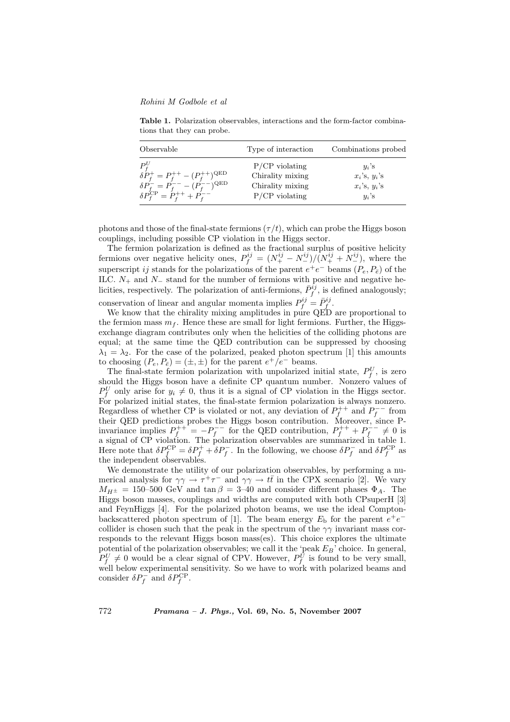### Rohini M Godbole et al

Table 1. Polarization observables, interactions and the form-factor combinations that they can probe.

| Observable                                            | Type of interaction | Combinations probed |
|-------------------------------------------------------|---------------------|---------------------|
| $P_f^U$                                               | $P/CP$ violating    | $u_i$ 's            |
| $\delta P_f^+ = P_f^{++} - (P_f^{++})^{\text{QED}}$   | Chirality mixing    | $x_i$ 's, $y_i$ 's  |
| $\delta P_f^{-} = P_f^{--} - (P_f^{--})^{\text{QED}}$ | Chirality mixing    | $x_i$ 's, $y_i$ 's  |
| $\delta P_{f}^{\rm CP} = P_{f}^{++} + P_{f}^{--}$     | $P/CP$ violating    | $y_i$ 's            |

photons and those of the final-state fermions  $(\tau / t)$ , which can probe the Higgs boson couplings, including possible CP violation in the Higgs sector.

The fermion polarization is defined as the fractional surplus of positive helicity fermions over negative helicity ones,  $P_f^{ij} = (N_+^{ij} - N_-^{ij})/(N_+^{ij} + N_-^{ij})$ , where the superscript ij stands for the polarizations of the parent  $e^+e^-$  beams  $(P_e, P_{\bar{e}})$  of the ILC.  $N_+$  and  $N_-$  stand for the number of fermions with positive and negative helicities, respectively. The polarization of anti-fermions,  $\bar{P}_f^{ij}$ , is defined analogously; conservation of linear and angular momenta implies  $P_f^{ij} = \bar{P}_f^{ij}$ .

We know that the chirality mixing amplitudes in pure QED are proportional to the fermion mass  $m_f$ . Hence these are small for light fermions. Further, the Higgsexchange diagram contributes only when the helicities of the colliding photons are equal; at the same time the QED contribution can be suppressed by choosing  $\lambda_1 = \lambda_2$ . For the case of the polarized, peaked photon spectrum [1] this amounts to choosing  $(P_e, P_{\bar{e}}) = (\pm, \pm)$  for the parent  $e^+/e^-$  beams.

The final-state fermion polarization with unpolarized initial state,  $P_f^U$ , is zero should the Higgs boson have a definite CP quantum number. Nonzero values of  $P_f^U$  only arise for  $y_i \neq 0$ , thus it is a signal of CP violation in the Higgs sector. For polarized initial states, the final-state fermion polarization is always nonzero. Regardless of whether CP is violated or not, any deviation of  $P_f^{++}$  and  $P_f^{--}$  from the functions of whether  $\overline{CI}$  is violated of not, any deviation of  $I_f$  and  $I_f$  from their QED predictions probes the Higgs boson contribution. Moreover, since Pinvariance implies  $P_f^{++} = -P_f^{--}$  for the QED contribution,  $P_f^{++} + P_f^{--} \neq 0$  is a signal of CP violation. The polarization observables are summarized in table 1. Here note that  $\delta P_f^{\rm CP} = \delta P_f^+ + \delta P_f^-$ . In the following, we choose  $\delta P_f^-$  and  $\delta P_f^{\rm CP}$  as the independent observables.

We demonstrate the utility of our polarization observables, by performing a numerical analysis for  $\gamma \gamma \to \tau^+ \tau^-$  and  $\gamma \gamma \to t\bar{t}$  in the CPX scenario [2]. We vary  $M_{H^{\pm}} = 150-500 \text{ GeV}$  and  $\tan \beta = 3-40$  and consider different phases  $\Phi_A$ . The Higgs boson masses, couplings and widths are computed with both CPsuperH [3] and FeynHiggs [4]. For the polarized photon beams, we use the ideal Comptonbackscattered photon spectrum of [1]. The beam energy  $E<sub>b</sub>$  for the parent  $e<sup>+</sup>e$ collider is chosen such that the peak in the spectrum of the  $\gamma\gamma$  invariant mass corresponds to the relevant Higgs boson mass(es). This choice explores the ultimate potential of the polarization observables; we call it the 'peak  $E_B$ ' choice. In general,  $P_f^U \neq 0$  would be a clear signal of CPV. However,  $P_f^U$  is found to be very small, well below experimental sensitivity. So we have to work with polarized beams and consider  $\delta P_f^-$  and  $\delta P_f^{\rm CP}$ .

772 Pramana – J. Phys., Vol. 69, No. 5, November 2007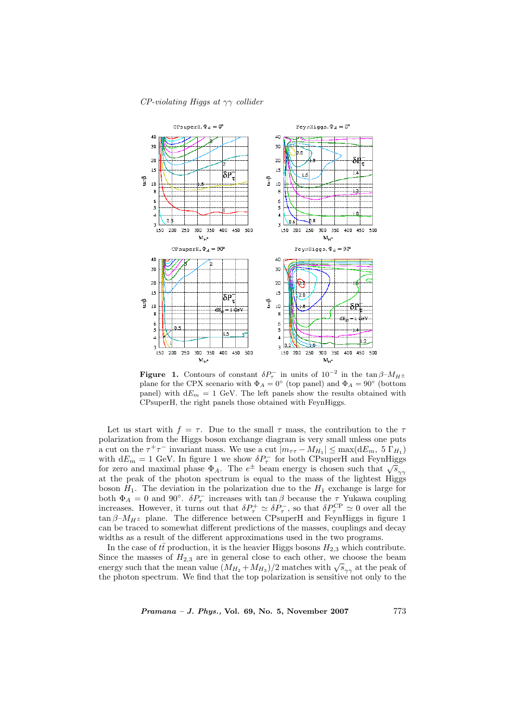#### $CP$ -violating Higgs at  $\gamma\gamma$  collider



**Figure 1.** Contours of constant  $\delta P_{\tau}^-$  in units of  $10^{-2}$  in the tan  $\beta$ - $M_{H^{\pm}}$ plane for the CPX scenario with  $\Phi_A = 0^{\circ}$  (top panel) and  $\Phi_A = 90^{\circ}$  (bottom panel) with  $dE_m = 1$  GeV. The left panels show the results obtained with CPsuperH, the right panels those obtained with FeynHiggs.

Let us start with  $f = \tau$ . Due to the small  $\tau$  mass, the contribution to the  $\tau$ polarization from the Higgs boson exchange diagram is very small unless one puts a cut on the  $\tau^+\tau^-$  invariant mass. We use a cut  $|m_{\tau\tau} - M_{H_1}| \leq \max(\mathrm{d}E_m, 5 \Gamma_{H_1})$ with  $dE_m = 1$  GeV. In figure 1 we show  $\delta P_{\tau}^-$  for both CPsuperH and FeynHiggs with  $dE_m = 1$  GeV. In figure 1 we show  $\delta P_{\tau}$  for both CPsuperH and FeynHiggs for zero and maximal phase  $\Phi_A$ . The  $e^{\pm}$  beam energy is chosen such that  $\sqrt{s_{\gamma\gamma}}$ at the peak of the photon spectrum is equal to the mass of the lightest Higgs boson  $H_1$ . The deviation in the polarization due to the  $H_1$  exchange is large for both  $\Phi_A = 0$  and 90°.  $\delta P_{\tau}^-$  increases with  $\tan \beta$  because the  $\tau$  Yukawa coupling increases. However, it turns out that  $\delta P_{\tau}^+ \simeq \delta P_{\tau}^-$ , so that  $\delta P_{\tau}^{\rm CP} \simeq 0$  over all the tan  $\beta$ - $M_{H^{\pm}}$  plane. The difference between CPsuperH and FeynHiggs in figure 1 can be traced to somewhat different predictions of the masses, couplings and decay widths as a result of the different approximations used in the two programs.

In the case of  $t\bar{t}$  production, it is the heavier Higgs bosons  $H_{2,3}$  which contribute. Since the masses of  $H_{2,3}$  are in general close to each other, we choose the beam since the masses of  $H_{2,3}$  are in general close to each other, we choose the beam<br>energy such that the mean value  $(M_{H_2} + M_{H_3})/2$  matches with  $\sqrt{s}_{\gamma\gamma}$  at the peak of the photon spectrum. We find that the top polarization is sensitive not only to the

 $Pramana - J. Phys., Vol. 69, No. 5, November 2007$  773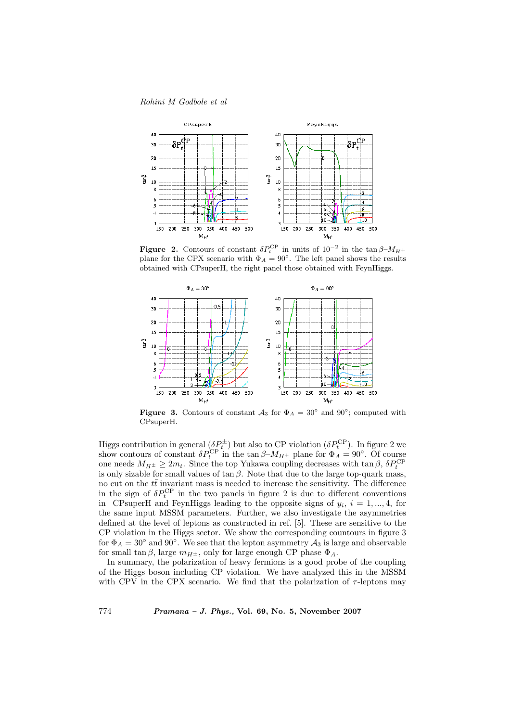#### Rohini M Godbole et al



**Figure 2.** Contours of constant  $\delta P_t^{\rm CP}$  in units of  $10^{-2}$  in the tan  $\beta$ - $M_{H^{\pm}}$ plane for the CPX scenario with  $\Phi_A = 90^\circ$ . The left panel shows the results obtained with CPsuperH, the right panel those obtained with FeynHiggs.



Figure 3. Contours of constant  $A_3$  for  $\Phi_A = 30^\circ$  and  $90^\circ$ ; computed with CPsuperH.

Higgs contribution in general  $(\delta P_t^{\pm})$  but also to CP violation  $(\delta P_t^{\text{CP}})$ . In figure 2 we show contours of constant  $\delta P_t^{\text{CP}}$  in the tan  $\beta$ - $M_{H^{\pm}}$  plane for  $\Phi_A = 90^{\circ}$ . Of course one needs  $M_{H^{\pm}} \geq 2m_t$ . Since the top Yukawa coupling decreases with tan  $\beta$ ,  $\delta P_t^{\text{CP}}$ is only sizable for small values of  $\tan \beta$ . Note that due to the large top-quark mass, no cut on the  $t\bar{t}$  invariant mass is needed to increase the sensitivity. The difference in the sign of  $\delta P_t^{\rm CP}$  in the two panels in figure 2 is due to different conventions in CPsuperH and FeynHiggs leading to the opposite signs of  $y_i$ ,  $i = 1, ..., 4$ , for the same input MSSM parameters. Further, we also investigate the asymmetries defined at the level of leptons as constructed in ref. [5]. These are sensitive to the CP violation in the Higgs sector. We show the corresponding countours in figure 3 for  $\Phi_A = 30^\circ$  and  $90^\circ$ . We see that the lepton asymmetry  $\mathcal{A}_3$  is large and observable for small tan  $\beta$ , large  $m_{H^{\pm}}$ , only for large enough CP phase  $\Phi_A$ .

In summary, the polarization of heavy fermions is a good probe of the coupling of the Higgs boson including CP violation. We have analyzed this in the MSSM with CPV in the CPX scenario. We find that the polarization of  $\tau$ -leptons may

774 Pramana – J. Phys., Vol. 69, No. 5, November 2007